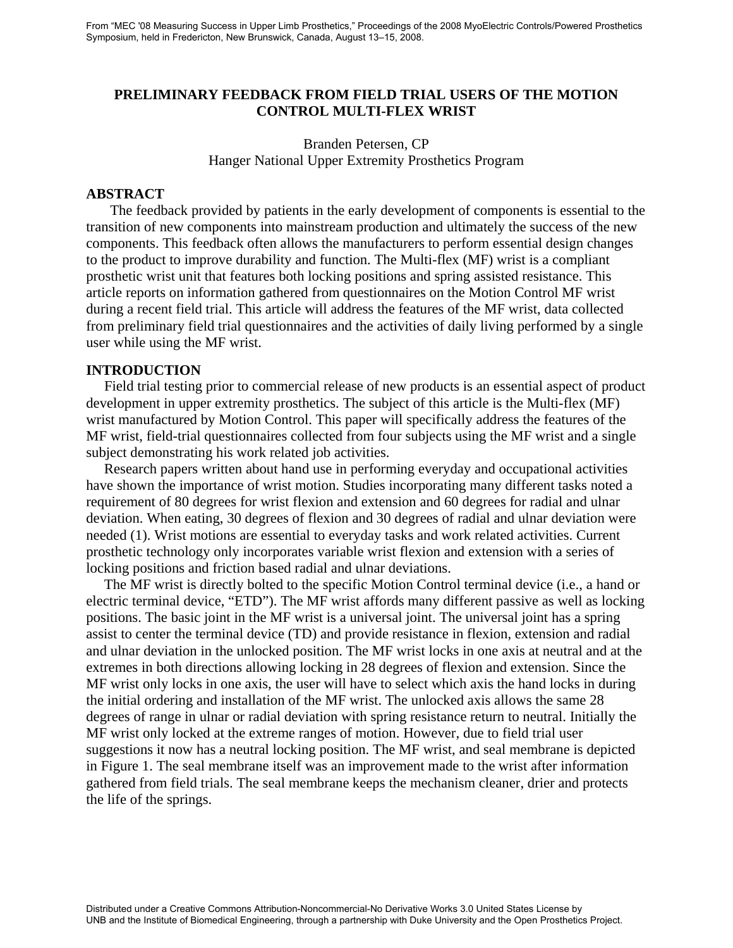### **PRELIMINARY FEEDBACK FROM FIELD TRIAL USERS OF THE MOTION CONTROL MULTI-FLEX WRIST**

Branden Petersen, CP Hanger National Upper Extremity Prosthetics Program

#### **ABSTRACT**

The feedback provided by patients in the early development of components is essential to the transition of new components into mainstream production and ultimately the success of the new components. This feedback often allows the manufacturers to perform essential design changes to the product to improve durability and function. The Multi-flex (MF) wrist is a compliant prosthetic wrist unit that features both locking positions and spring assisted resistance. This article reports on information gathered from questionnaires on the Motion Control MF wrist during a recent field trial. This article will address the features of the MF wrist, data collected from preliminary field trial questionnaires and the activities of daily living performed by a single user while using the MF wrist.

#### **INTRODUCTION**

 Field trial testing prior to commercial release of new products is an essential aspect of product development in upper extremity prosthetics. The subject of this article is the Multi-flex (MF) wrist manufactured by Motion Control. This paper will specifically address the features of the MF wrist, field-trial questionnaires collected from four subjects using the MF wrist and a single subject demonstrating his work related job activities.

 Research papers written about hand use in performing everyday and occupational activities have shown the importance of wrist motion. Studies incorporating many different tasks noted a requirement of 80 degrees for wrist flexion and extension and 60 degrees for radial and ulnar deviation. When eating, 30 degrees of flexion and 30 degrees of radial and ulnar deviation were needed (1). Wrist motions are essential to everyday tasks and work related activities. Current prosthetic technology only incorporates variable wrist flexion and extension with a series of locking positions and friction based radial and ulnar deviations.

 The MF wrist is directly bolted to the specific Motion Control terminal device (i.e., a hand or electric terminal device, "ETD"). The MF wrist affords many different passive as well as locking positions. The basic joint in the MF wrist is a universal joint. The universal joint has a spring assist to center the terminal device (TD) and provide resistance in flexion, extension and radial and ulnar deviation in the unlocked position. The MF wrist locks in one axis at neutral and at the extremes in both directions allowing locking in 28 degrees of flexion and extension. Since the MF wrist only locks in one axis, the user will have to select which axis the hand locks in during the initial ordering and installation of the MF wrist. The unlocked axis allows the same 28 degrees of range in ulnar or radial deviation with spring resistance return to neutral. Initially the MF wrist only locked at the extreme ranges of motion. However, due to field trial user suggestions it now has a neutral locking position. The MF wrist, and seal membrane is depicted in Figure 1. The seal membrane itself was an improvement made to the wrist after information gathered from field trials. The seal membrane keeps the mechanism cleaner, drier and protects the life of the springs.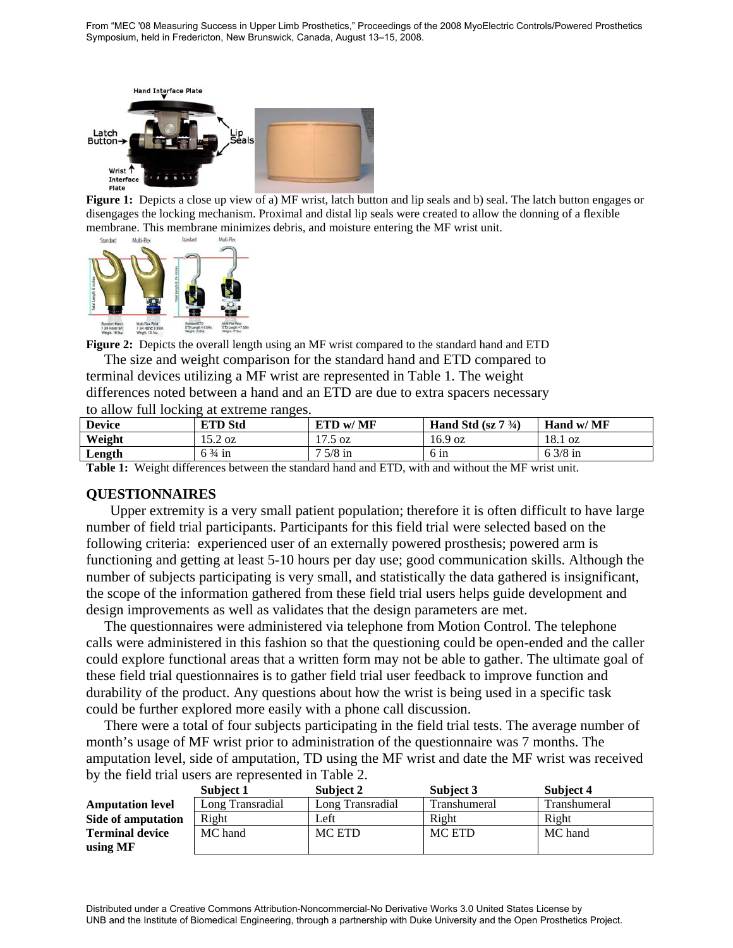From "MEC '08 Measuring Success in Upper Limb Prosthetics," Proceedings of the 2008 MyoElectric Controls/Powered Prosthetics Symposium, held in Fredericton, New Brunswick, Canada, August 13–15, 2008.



Figure 1: Depicts a close up view of a) MF wrist, latch button and lip seals and b) seal. The latch button engages or disengages the locking mechanism. Proximal and distal lip seals were created to allow the donning of a flexible membrane. This membrane minimizes debris, and moisture entering the MF wrist unit.



**Figure 2:** Depicts the overall length using an MF wrist compared to the standard hand and ETD

 The size and weight comparison for the standard hand and ETD compared to terminal devices utilizing a MF wrist are represented in Table 1. The weight differences noted between a hand and an ETD are due to extra spacers necessary to allow full locking at extreme ranges.

| <b>Device</b> | <b>ETD Std</b>    | ETD w/ MF          | Hand Std $(sz 7 \frac{3}{4})$ | Hand w/ MF |
|---------------|-------------------|--------------------|-------------------------------|------------|
| Weight        | $15.2 \text{ oz}$ | 17L<br>.5 oz<br>ر… | 16.9 oz                       | 18.1 oz    |
| Length        | $6\frac{3}{4}$ in | $5/8$ in           | $6 \text{ in}$                | $53/8$ in  |

**Table 1:** Weight differences between the standard hand and ETD, with and without the MF wrist unit.

### **QUESTIONNAIRES**

Upper extremity is a very small patient population; therefore it is often difficult to have large number of field trial participants. Participants for this field trial were selected based on the following criteria: experienced user of an externally powered prosthesis; powered arm is functioning and getting at least 5-10 hours per day use; good communication skills. Although the number of subjects participating is very small, and statistically the data gathered is insignificant, the scope of the information gathered from these field trial users helps guide development and design improvements as well as validates that the design parameters are met.

 The questionnaires were administered via telephone from Motion Control. The telephone calls were administered in this fashion so that the questioning could be open-ended and the caller could explore functional areas that a written form may not be able to gather. The ultimate goal of these field trial questionnaires is to gather field trial user feedback to improve function and durability of the product. Any questions about how the wrist is being used in a specific task could be further explored more easily with a phone call discussion.

 There were a total of four subjects participating in the field trial tests. The average number of month's usage of MF wrist prior to administration of the questionnaire was 7 months. The amputation level, side of amputation, TD using the MF wrist and date the MF wrist was received by the field trial users are represented in Table 2.

|                         | Subject 1        | Subject 2        | Subject 3    | Subject 4    |
|-------------------------|------------------|------------------|--------------|--------------|
| <b>Amputation level</b> | Long Transradial | Long Transradial | Transhumeral | Transhumeral |
| Side of amputation      | Right            | Left             | Right        | Right        |
| <b>Terminal device</b>  | MC hand          | MC ETD           | MC ETD       | MC hand      |
| using MF                |                  |                  |              |              |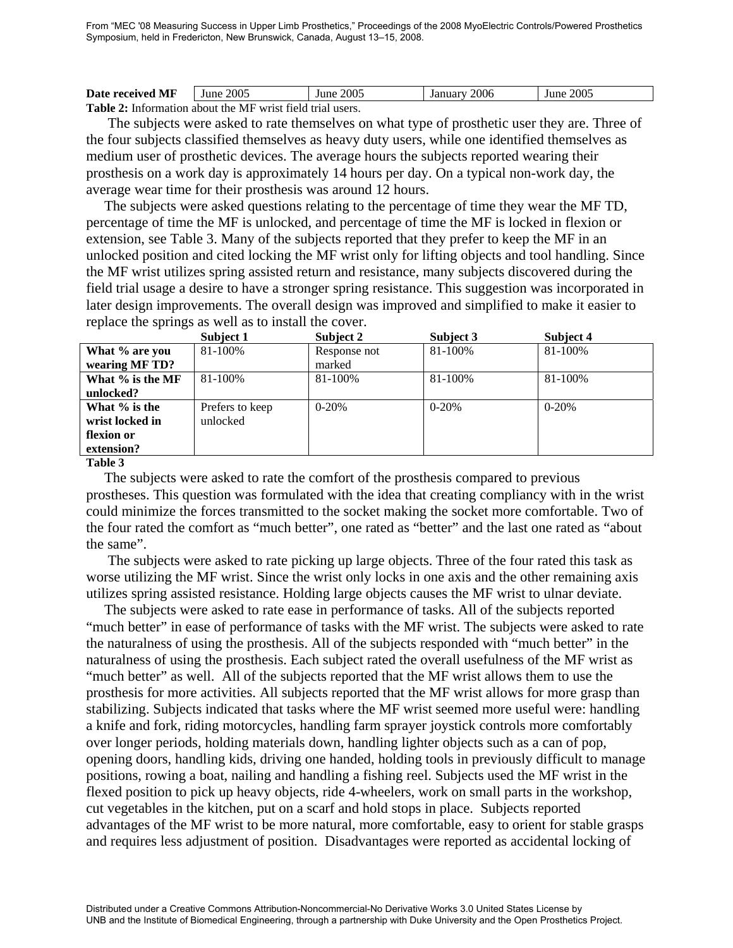From "MEC '08 Measuring Success in Upper Limb Prosthetics," Proceedings of the 2008 MyoElectric Controls/Powered Prosthetics Symposium, held in Fredericton, New Brunswick, Canada, August 13–15, 2008.

| Date received MF                                                  | June 2005 | June 2005 | January 2006 | June 2005 |  |
|-------------------------------------------------------------------|-----------|-----------|--------------|-----------|--|
| <b>Table 2:</b> Information about the MF wrist field trial users. |           |           |              |           |  |

 The subjects were asked to rate themselves on what type of prosthetic user they are. Three of the four subjects classified themselves as heavy duty users, while one identified themselves as medium user of prosthetic devices. The average hours the subjects reported wearing their prosthesis on a work day is approximately 14 hours per day. On a typical non-work day, the average wear time for their prosthesis was around 12 hours.

 The subjects were asked questions relating to the percentage of time they wear the MF TD, percentage of time the MF is unlocked, and percentage of time the MF is locked in flexion or extension, see Table 3. Many of the subjects reported that they prefer to keep the MF in an unlocked position and cited locking the MF wrist only for lifting objects and tool handling. Since the MF wrist utilizes spring assisted return and resistance, many subjects discovered during the field trial usage a desire to have a stronger spring resistance. This suggestion was incorporated in later design improvements. The overall design was improved and simplified to make it easier to replace the springs as well as to install the cover.

|                  | Subject 1       | Subject 2    | Subject 3 | Subject 4 |
|------------------|-----------------|--------------|-----------|-----------|
| What % are you   | 81-100%         | Response not | 81-100%   | 81-100%   |
| wearing MF TD?   |                 | marked       |           |           |
| What % is the MF | 81-100%         | $81 - 100\%$ | 81-100%   | 81-100%   |
| unlocked?        |                 |              |           |           |
| What % is the    | Prefers to keep | $0-20%$      | $0-20%$   | $0-20%$   |
| wrist locked in  | unlocked        |              |           |           |
| flexion or       |                 |              |           |           |
| extension?       |                 |              |           |           |

**Table 3** 

 The subjects were asked to rate the comfort of the prosthesis compared to previous prostheses. This question was formulated with the idea that creating compliancy with in the wrist could minimize the forces transmitted to the socket making the socket more comfortable. Two of the four rated the comfort as "much better", one rated as "better" and the last one rated as "about the same".

 The subjects were asked to rate picking up large objects. Three of the four rated this task as worse utilizing the MF wrist. Since the wrist only locks in one axis and the other remaining axis utilizes spring assisted resistance. Holding large objects causes the MF wrist to ulnar deviate.

 The subjects were asked to rate ease in performance of tasks. All of the subjects reported "much better" in ease of performance of tasks with the MF wrist. The subjects were asked to rate the naturalness of using the prosthesis. All of the subjects responded with "much better" in the naturalness of using the prosthesis. Each subject rated the overall usefulness of the MF wrist as "much better" as well. All of the subjects reported that the MF wrist allows them to use the prosthesis for more activities. All subjects reported that the MF wrist allows for more grasp than stabilizing. Subjects indicated that tasks where the MF wrist seemed more useful were: handling a knife and fork, riding motorcycles, handling farm sprayer joystick controls more comfortably over longer periods, holding materials down, handling lighter objects such as a can of pop, opening doors, handling kids, driving one handed, holding tools in previously difficult to manage positions, rowing a boat, nailing and handling a fishing reel. Subjects used the MF wrist in the flexed position to pick up heavy objects, ride 4-wheelers, work on small parts in the workshop, cut vegetables in the kitchen, put on a scarf and hold stops in place. Subjects reported advantages of the MF wrist to be more natural, more comfortable, easy to orient for stable grasps and requires less adjustment of position. Disadvantages were reported as accidental locking of